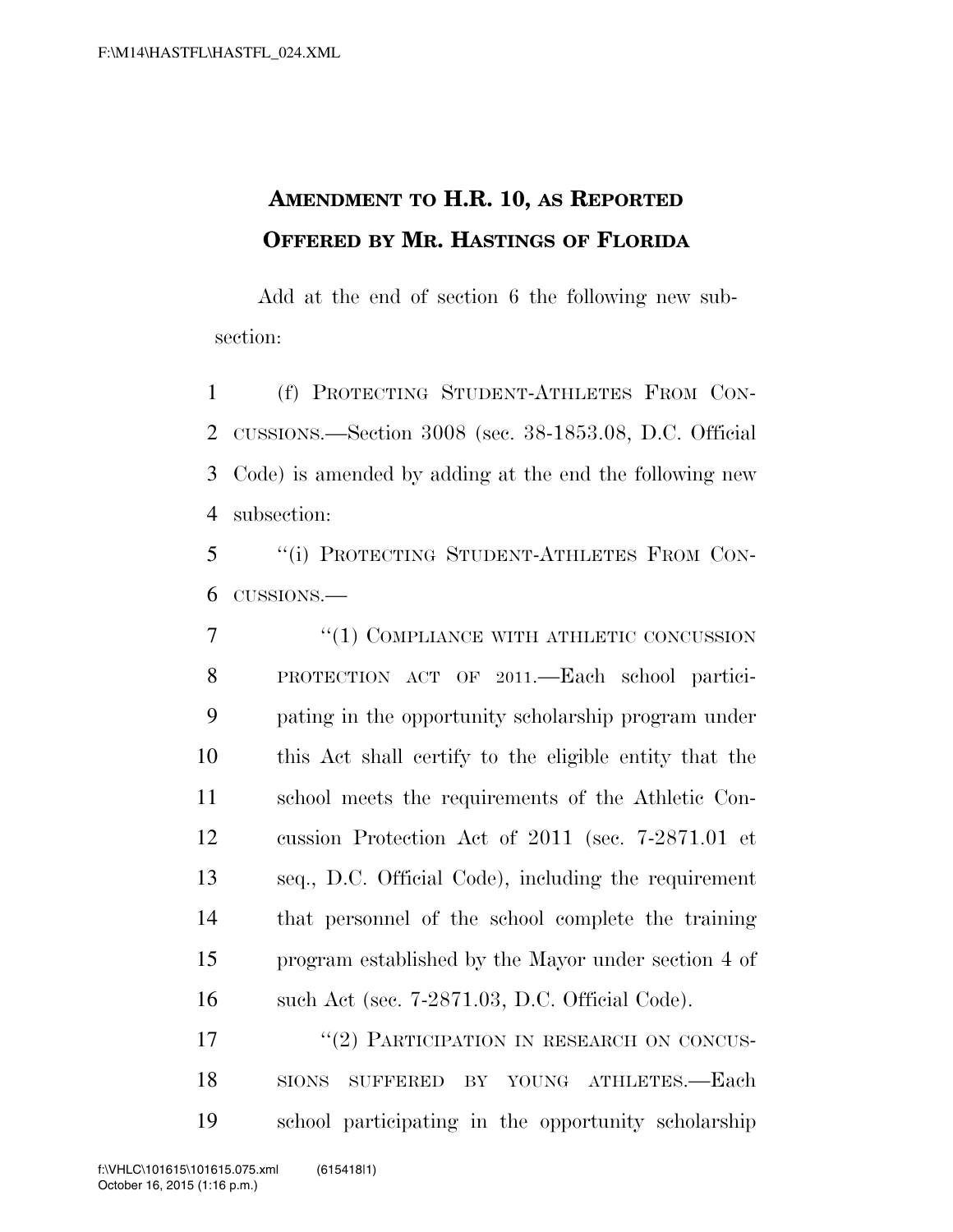## **AMENDMENT TO H.R. 10, AS REPORTED OFFERED BY MR. HASTINGS OF FLORIDA**

Add at the end of section 6 the following new subsection:

 (f) PROTECTING STUDENT-ATHLETES FROM CON- CUSSIONS.—Section 3008 (sec. 38-1853.08, D.C. Official Code) is amended by adding at the end the following new subsection:

 ''(i) PROTECTING STUDENT-ATHLETES FROM CON-CUSSIONS.—

7 "(1) COMPLIANCE WITH ATHLETIC CONCUSSION PROTECTION ACT OF 2011.—Each school partici- pating in the opportunity scholarship program under this Act shall certify to the eligible entity that the school meets the requirements of the Athletic Con- cussion Protection Act of 2011 (sec. 7-2871.01 et seq., D.C. Official Code), including the requirement that personnel of the school complete the training program established by the Mayor under section 4 of such Act (sec. 7-2871.03, D.C. Official Code).

17 "(2) PARTICIPATION IN RESEARCH ON CONCUS- SIONS SUFFERED BY YOUNG ATHLETES.—Each school participating in the opportunity scholarship